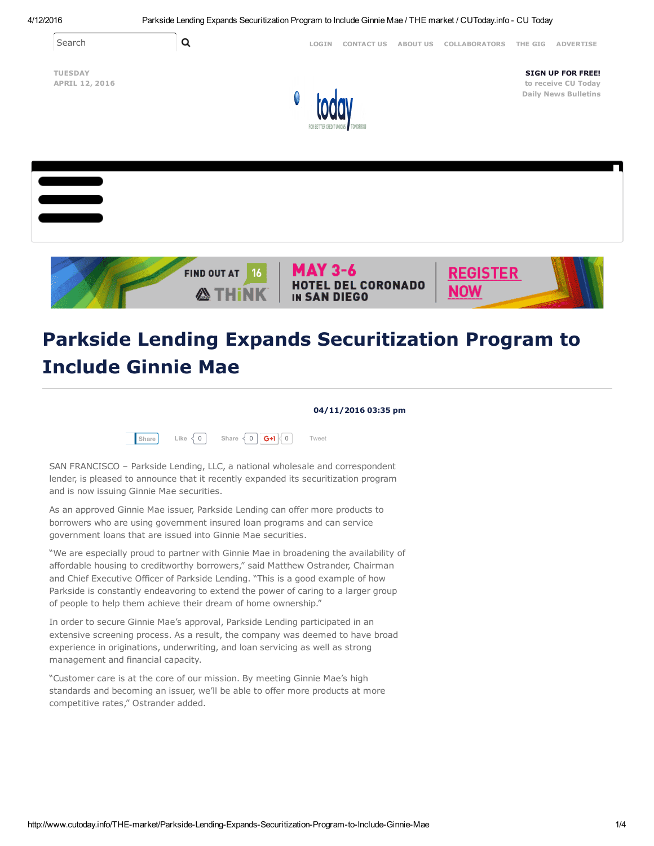



## Parkside Lending Expands Securitization Program to Include Ginnie Mae

04/11/2016 03:35 pm



SAN FRANCISCO – Parkside Lending, LLC, a national wholesale and correspondent lender, is pleased to announce that it recently expanded its securitization program and is now issuing Ginnie Mae securities.

As an approved Ginnie Mae issuer, Parkside Lending can offer more products to borrowers who are using government insured loan programs and can service government loans that are issued into Ginnie Mae securities.

"We are especially proud to partner with Ginnie Mae in broadening the availability of affordable housing to creditworthy borrowers," said Matthew Ostrander, Chairman and Chief Executive Officer of Parkside Lending. "This is a good example of how Parkside is constantly endeavoring to extend the power of caring to a larger group of people to help them achieve their dream of home ownership."

In order to secure Ginnie Mae's approval, Parkside Lending participated in an extensive screening process. As a result, the company was deemed to have broad experience in originations, underwriting, and loan servicing as well as strong management and financial capacity.

"Customer care is at the core of our mission. By meeting Ginnie Mae's high standards and becoming an issuer, we'll be able to offer more products at more competitive rates," Ostrander added.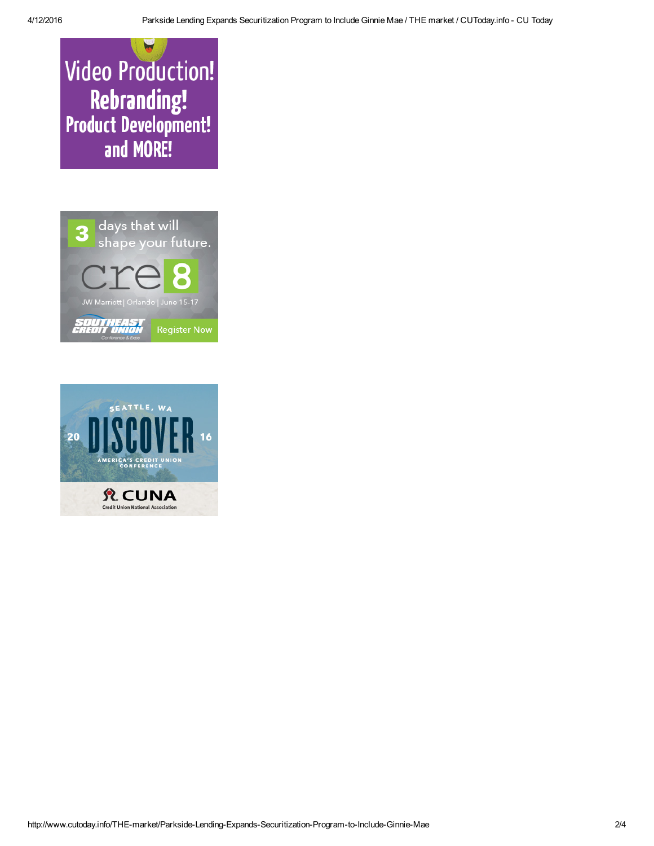**Video Production!** Rebranding!<br>!Product Development and MORE!



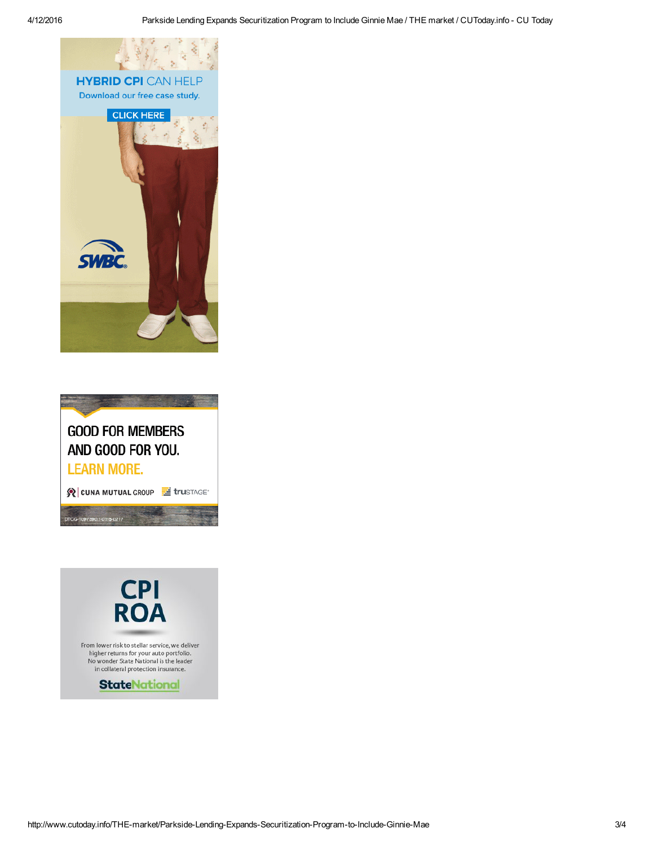